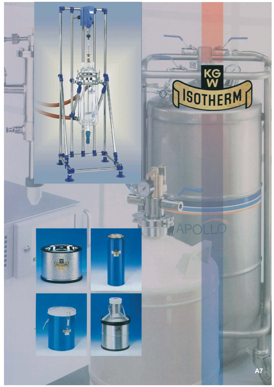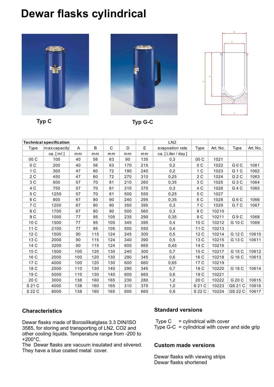## **Dewar flasks cylindrical**









**Typ C Typ G-C**

|                | <b>Technical specification</b> |     |     |              |     |     | LN2               |                |          |                  |          |
|----------------|--------------------------------|-----|-----|--------------|-----|-----|-------------------|----------------|----------|------------------|----------|
| Type           | max.capacity                   | A   | B   | $\mathsf{C}$ | D   | E.  | evapoation rate   | Type           | Art. No. | Type             | Art. No. |
|                | ca. $[ml]$                     | mm  | mm  | mm           | mm  | mm  | ca. [Liter / day] |                |          |                  |          |
| 00C            | 100                            | 40  | 56  | 63           | 90  | 135 | 0,3               | 00C            | 1021     |                  |          |
| 0C             | 200                            | 40  | 56  | 63           | 170 | 215 | 0,2               | 0C             | 1022     | G 0 C            | 1061     |
| 1 <sup>C</sup> | 300                            | 47  | 60  | 72           | 190 | 240 | 0,2               | 1 <sup>C</sup> | 1023     | G <sub>1</sub> C | 1062     |
| 2C             | 450                            | 47  | 60  | 72           | 270 | 310 | 0,25              | 2C             | 1024     | G <sub>2</sub> C | 1063     |
| 3 C            | 500                            | 57  | 70  | 81           | 210 | 260 | 0,35              | 3 C            | 1025     | G <sub>3</sub> C | 1064     |
| 4 C            | 750                            | 57  | 70  | 81           | 310 | 370 | 0,3               | 4 C            | 1026     | G <sub>4</sub> C | 1065     |
| 5 C            | 1250                           | 57  | 70  | 81           | 500 | 550 | 0,25              | 5 C            | 1027     |                  |          |
| 6 C            | 800                            | 67  | 80  | 90           | 240 | 295 | 0,35              | 6 C            | 1028     | G6C              | 1066     |
| 7 C            | 1200                           | 67  | 80  | 90           | 350 | 395 | 0,3               | 7 C            | 1029     | G7C              | 1067     |
| 8 C            | 1700                           | 67  | 80  | 90           | 500 | 560 | 0,3               | 8 C            | 10210    |                  |          |
| $9\,$ C        | 1000                           | 77  | 95  | 105          | 235 | 290 | 0,35              | 9 C            | 10211    | G9C              | 1068     |
| 10 C           | 1500                           | 77  | 95  | 105          | 345 | 395 | 0,4               | 10 C           | 10212    | G 10 C           | 1069     |
| 11 C           | 2100                           | 77  | 95  | 105          | 500 | 550 | 0,4               | 11 C           | 10213    |                  |          |
| 12 C           | 1500                           | 90  | 115 | 124          | 245 | 300 | 0,5               | 12 C           | 10214    | G 12 C           | 10610    |
| 13 C           | 2000                           | 90  | 115 | 124          | 340 | 390 | 0,5               | 13 C           | 10215    | G 13 C           | 10611    |
| 14 C           | 3200                           | 90  | 115 | 124          | 600 | 665 | 0,45              | 14 C           | 10216    |                  |          |
| 15 C           | 1500                           | 100 | 120 | 130          | 240 | 300 | 0,7               | 15 C           | 10217    | G 15 C           | 10612    |
| 16 C           | 2000                           | 100 | 120 | 130          | 290 | 345 | 0,6               | 16 C           | 10218    | G 16 C           | 10613    |
| 17 C           | 4000                           | 100 | 120 | 130          | 600 | 660 | 0,65              | 17 C           | 10219    |                  |          |
| 18 C           | 2500                           | 110 | 130 | 140          | 290 | 345 | 0,7               | 18 C           | 10220    | G 18 C           | 10614    |
| 19 C           | 5000                           | 110 | 130 | 140          | 600 | 660 | 0,6               | 19 C           | 10221    |                  |          |
| 20 C           | 3000                           | 138 | 160 | 165          | 230 | 280 | 1,2               | 20 C           | 10222    | G 20 C           | 10615    |
| S 21 C         | 4000                           | 138 | 160 | 165          | 310 | 375 | 1,0               | S 21 C         | 10223    | GS 21 C          | 10616    |
| S 22 C         | 8000                           | 138 | 160 | 165          | 600 | 660 | 0,9               | S 22 C         | 10224    | GS 22 C          | 10617    |
|                |                                |     |     |              |     |     |                   |                |          |                  |          |

## **Characteristics**

Dewar flasks made of Borosilikatglass 3.3 DIN/ISO 3585, for storing and transporting of LN2, CO2 and other cooling liquids. Temperature range from -200 to +200°C.

The Dewar flasks are vacuum insulated and silvered. They have a blue coated metal cover.

### **Standard versions**

Type  $C =$  cylindrical with cover Type G-C  $=$  cylindrical with cover and side grip

### **Custom made versions**

Dewar flasks with viewing strips Dewar flasks shortened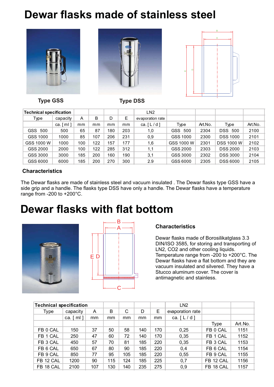# **Dewar flasks made of stainless steel**







**Type GSS Type DSS**

| <b>Technical specification</b> |                       |     |     |     |     | LN <sub>2</sub>  |            |         |                   |         |
|--------------------------------|-----------------------|-----|-----|-----|-----|------------------|------------|---------|-------------------|---------|
| Type                           | capacity              | A   | B   | D   | Е   | evaporation rate |            |         |                   |         |
|                                | ca. $\lceil m \rceil$ | mm  | mm  | mm  | mm  | ca. $[L/d]$      | Type       | Art.No. | Type              | Art.No. |
| GSS 500                        | 500                   | 65  | 87  | 180 | 203 | 1.0              | GSS 500    | 2304    | <b>DSS 500</b>    | 2100    |
| GSS 1000                       | 1000                  | 85  | 107 | 206 | 231 | 0,9              | GSS 1000   | 2300    | <b>DSS 1000</b>   | 2101    |
| GSS 1000 W                     | 1000                  | 100 | 122 | 157 | 177 | 1,6              | GSS 1000 W | 2301    | <b>DSS 1000 W</b> | 2102    |
| GSS 2000                       | 2000                  | 100 | 122 | 285 | 312 | 1,1              | GSS 2000   | 2303    | <b>DSS 2000</b>   | 2103    |
| GSS 3000                       | 3000                  | 185 | 200 | 160 | 190 | 3,1              | GSS 3000   | 2302    | <b>DSS 3000</b>   | 2104    |
| GSS 6000                       | 6000                  | 185 | 200 | 270 | 300 | 2.9              | GSS 6000   | 2305    | <b>DSS 6000</b>   | 2105    |

## **Characteristics**

The Dewar flasks are made of stainless steel and vacuum insulated . The Dewar flasks type GSS have a side grip and a handle. The flasks type DSS have only a handle. The Dewar flasks have a temperature range from -200 to +200°C.

# **Dewar flasks with flat bottom**





## **Characteristics**

Dewar flasks made of Borosilikatglass 3.3 DIN/ISO 3585, for storing and transporting of LN2, CO2 and other cooling liquids. Temperature range from -200 to +200°C. The Dewar flasks have a flat bottom and they are vacuum insulated and silvered. They have a Stucco aluminum cover. The cover is antimagnetic and stainless.

| <b>Technical specification</b> |               |     |     |     |     |     | LN <sub>2</sub>  |             |         |
|--------------------------------|---------------|-----|-----|-----|-----|-----|------------------|-------------|---------|
| Type                           | capacity<br>A |     | B   | C   | D   | Ε   | evaporation rate |             |         |
|                                | ca. $[ml]$    | mm  | mm  | mm  | mm  | mm  | ca. $[L/d]$      |             |         |
|                                |               |     |     |     |     |     |                  | <b>Type</b> | Art.No. |
| FB 0 CAL                       | 150           | 37  | 50  | 58  | 140 | 170 | 0,25             | FB 0 CAL    | 1151    |
| FB 1 CAL                       | 250           | 47  | 60  | 72  | 140 | 170 | 0,35             | FB 1 CAL    | 1152    |
| FB 3 CAL                       | 450           | 57  | 70  | 81  | 185 | 220 | 0,35             | FB 3 CAL    | 1153    |
| FB 6 CAL                       | 650           | 67  | 80  | 90  | 185 | 220 | 0,4              | FB 6 CAL    | 1154    |
| FB 9 CAL                       | 850           | 77  | 95  | 105 | 185 | 220 | 0,55             | FB 9 CAL    | 1155    |
| FB 12 CAL                      | 1200          | 90  | 115 | 124 | 185 | 225 | 0,7              | FB 12 CAL   | 1156    |
| FB 18 CAL                      | 2100          | 107 | 130 | 140 | 235 | 275 | 0,9              | FB 18 CAL   | 1157    |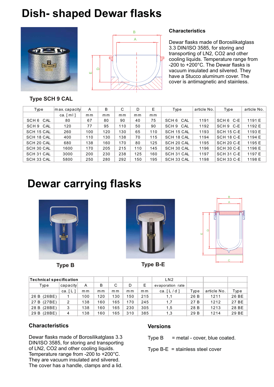# **Dish- shaped Dewar flasks**





#### **Characteristics**

Dewar flasks made of Borosilikatglass 3.3 DIN/ISO 3585, for storing and transporting of LN2, CO2 and other cooling liquids. Temperature range from -200 to +200°C. The Dewar flasks is vacuum insulated and silvered. They have a Stucco aluminum cover. The cover is antimagnetic and stainless.

## **Type SCH 9 CAL**

| Type       | max.capacity          | A   | B   | C   | D   | Е   | Type       | article No. | Type              | article No. |
|------------|-----------------------|-----|-----|-----|-----|-----|------------|-------------|-------------------|-------------|
|            | ca. $\lceil m \rceil$ | mm  | mm  | m m | mm  | mm  |            |             |                   |             |
| SCH 6 CAL  | 80                    | 67  | 80  | 90  | 40  | 75  | SCH 6 CAL  | 1191        | SCH 6 C-E         | 1191 E      |
| SCH 9 CAL  | 120                   | 77  | 95  | 110 | 50  | 90  | SCH 9 CAL  | 1192        | SCH 9 C-E         | 1192 E      |
| SCH 15 CAL | 260                   | 100 | 120 | 130 | 65  | 110 | SCH 15 CAL | 1193        | <b>SCH 15 C-E</b> | 1193 E      |
| SCH 18 CAL | 400                   | 110 | 130 | 138 | 70  | 115 | SCH 18 CAL | 1194        | <b>SCH 18 C-E</b> | 1194 E      |
| SCH 20 CAL | 680                   | 138 | 160 | 170 | 80  | 125 | SCH 20 CAL | 1195        | <b>SCH 20 C-E</b> | 1195 E      |
| SCH 30 CAL | 1600                  | 170 | 205 | 215 | 110 | 145 | SCH 30 CAL | 1196        | <b>SCH 30 C-E</b> | 1196 E      |
| SCH 31 CAL | 3000                  | 200 | 230 | 238 | 125 | 160 | SCH 31 CAL | 1197        | SCH 31 C-E        | 1197 E      |
| SCH 33 CAL | 5800                  | 250 | 280 | 292 | 150 | 195 | SCH 33 CAL | 1198        | <b>SCH 33 C-E</b> | 1198 E      |

# **Dewar carrying flasks**







**Type B Type B-E**

| <b>Technical specification</b> |          |     |     |     |     | LN <sub>2</sub> |                         |      |             |       |
|--------------------------------|----------|-----|-----|-----|-----|-----------------|-------------------------|------|-------------|-------|
| Type                           | capacity | A   | B   | C   | D   | Ε               | evaporation rate        |      |             |       |
|                                | ca.[L    | m m | m m | m m | m m | m m             | ca. $\lceil L/d \rceil$ | Type | article No. | Type  |
| 26 B (26BE)                    |          | 100 | 120 | 130 | 150 | 215             | 1,1                     | 26 B | 1211        | 26 BE |
| 27 B (27 BE)                   | 2        | 138 | 160 | 165 | 170 | 245             | 1,7                     | 27 B | 1212        | 27 BE |
| 28 B (28 BE)                   | 3        | 138 | 160 | 165 | 230 | 305             | 1,5                     | 28 B | 1213        | 28 BE |
| (28BE)<br>29 B                 | 4        | 138 | 160 | 165 | 310 | 385             | 1,3                     | 29 B | 1214        | 29 BE |

## **Characteristics**

Dewar flasks made of Borosilikatglass 3.3 DIN/ISO 3585, for storing and transporting of LN2, CO2 and other cooling liquids. Temperature range from -200 to +200°C. They are vacuum insulated and silvered. The cover has a handle, clamps and a lid.

### **Versions**

Type  $B =$  metal - cover, blue coated.

Type B-E = stainless steel cover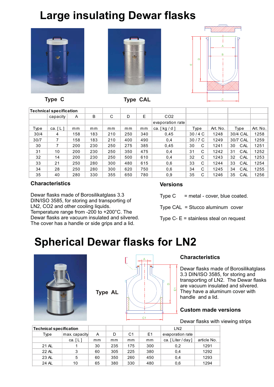# **Large insulating Dewar flasks**









**Type C** Type CAL

| <b>Technical specification</b> |           |     |     |     |     |     |                  |         |          |           |          |
|--------------------------------|-----------|-----|-----|-----|-----|-----|------------------|---------|----------|-----------|----------|
|                                | capacity  | Α   | B   | C   | D   | E   | CO <sub>2</sub>  |         |          |           |          |
|                                |           |     |     |     |     |     | evaporation rate |         |          |           |          |
| Type                           | ca. $[L]$ | mm  | mm  | mm  | mm  | mm  | ca. [kg / d ]    | Type    | Art. No. | Type      | Art. No. |
| 30/4                           | 4         | 158 | 183 | 210 | 250 | 340 | 0,45             | 30/4C   | 1248     | 30/4 CAL  | 1258     |
| 30/7                           |           | 158 | 183 | 210 | 400 | 490 | 0,4              | 30/7C   | 1249     | 30/7 CAL  | 1259     |
| 30                             |           | 200 | 230 | 250 | 275 | 385 | 0.45             | 30<br>C | 1241     | 30<br>CAL | 1251     |
| 31                             | 10        | 200 | 230 | 250 | 350 | 475 | 0,4              | 31<br>C | 1242     | 31<br>CAL | 1252     |
| 32                             | 14        | 200 | 230 | 250 | 500 | 610 | 0,4              | 32<br>C | 1243     | 32<br>CAL | 1253     |
| 33                             | 21        | 250 | 280 | 300 | 480 | 615 | 0,6              | 33<br>C | 1244     | 33<br>CAL | 1254     |
| 34                             | 28        | 250 | 280 | 300 | 620 | 750 | 0,6              | 34<br>C | 1245     | 34<br>CAL | 1255     |
| 35                             | 40        | 280 | 330 | 355 | 650 | 780 | 0,9              | 35<br>C | 1246     | 35<br>CAL | 1256     |

## **Characteristics**

Dewar flasks made of Borosilikatglass 3.3 DIN/ISO 3585, for storing and transporting of LN2, CO2 and other cooling liquids. Temperature range from -200 to +200°C. The Dewar flasks are vacuum insulated and silvered. The cover has a handle or side grips and a lid.

## **Versions**

Type  $C =$  metal - cover, blue coated.

Type CAL = Stucco aluminum cover

Type C- E = stainless steal on request

# **Spherical Dewar flasks for LN2**



**Type AL**



## **Characteristics**

Dewar flasks made of Borosilikatglass 3.3 DIN/ISO 3585, for storing and transporting of LN2. The Dewar flasks are vacuum insulated and silvered. They have a aluminum cover with handle and a lid.

## **Custom made versions**

Dewar flasks with viewing strips

| <b>Technical specification</b> |                       |    |     |     | LN <sub>2</sub> |                   |             |
|--------------------------------|-----------------------|----|-----|-----|-----------------|-------------------|-------------|
| Type                           | max.capacity          |    | D   | C1  | E1              | evaporation rate  |             |
|                                | ca. $\lceil L \rceil$ | mm | mm  | mm  | mm              | ca. [Liter / day] | article No. |
| 21 AL                          |                       | 30 | 235 | 175 | 300             | 0,2               | 1291        |
| 22 AL                          | 3                     | 60 | 305 | 225 | 380             | 0,4               | 1292        |
| 23 AL                          | 5                     | 60 | 350 | 260 | 450             | 0,4               | 1293        |
| 24 AL                          | 10                    | 65 | 380 | 330 | 480             | 0.6               | 1294        |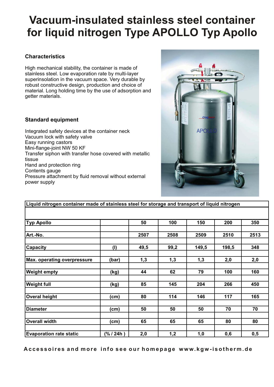# **Vacuum-insulated stainless steel container for liquid nitrogen Type APOLLO Typ Apollo**

## **Characteristics**

High mechanical stability, the container is made of stainless steel. Low evaporation rate by multi-layer superinsolation in the vacuum space. Very durable by robust constructive design, production and choice of material. Long holding time by the use of adsorption and getter materials.

### **Standard equipment**

Integrated safety devices at the container neck Vacuum lock with safety valve Easy running castors Mini-flange-joint NW 50 KF Transfer siphon with transfer hose covered with metallic tissue Hand and protection ring Contents gauge Pressure attachment by fluid removal without external power supply



| Liquid nitrogen container made of stainless steel for storage and transport of liquid nitrogen |            |      |      |       |       |      |
|------------------------------------------------------------------------------------------------|------------|------|------|-------|-------|------|
|                                                                                                |            |      |      |       |       |      |
| <b>Typ Apollo</b>                                                                              |            | 50   | 100  | 150   | 200   | 350  |
| Art.-No.                                                                                       |            | 2507 | 2508 | 2509  | 2510  | 2513 |
| Capacity                                                                                       | (1)        | 49,5 | 99,2 | 149,5 | 198,5 | 348  |
| <b>Max. operating overpressure</b>                                                             | (bar)      | 1,3  | 1,3  | 1,3   | 2,0   | 2,0  |
| <b>Weight empty</b>                                                                            | (kg)       | 44   | 62   | 79    | 100   | 160  |
| <b>Weight full</b>                                                                             | (kg)       | 85   | 145  | 204   | 266   | 450  |
| <b>Overal height</b>                                                                           | (cm)       | 80   | 114  | 146   | 117   | 165  |
| <b>Diameter</b>                                                                                | (cm)       | 50   | 50   | 50    | 70    | 70   |
| <b>Overall width</b>                                                                           | (cm)       | 65   | 65   | 65    | 80    | 80   |
| <b>Evaporation rate static</b>                                                                 | (% / 24h ) | 2,0  | 1,2  | 1,0   | 0,6   | 0,5  |

**Accessoires and more info see our homepage www.kgw-isotherm.de**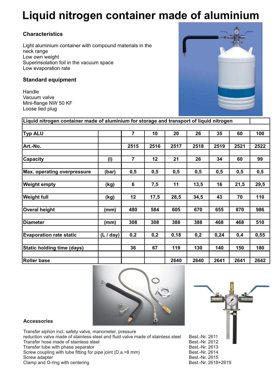# **Liquid nitrogen container made of aluminium**

## **Characteristics**

Light aluminium container with compound materials in the neck range Low own weight Superinsolation foil in the vacuum space Low evaporation rate

### **Standard equipment**

Handle Vacuum valve Mini-flange NW 50 KF Loose lied plug



| Liquid nitrogen container made of aluminium for storage and transport of liquid nitrogen |           |                |      |      |      |      |      |      |
|------------------------------------------------------------------------------------------|-----------|----------------|------|------|------|------|------|------|
|                                                                                          |           |                |      |      |      |      |      |      |
| <b>Typ ALU</b>                                                                           |           | $\overline{7}$ | 10   | 20   | 26   | 35   | 60   | 100  |
|                                                                                          |           |                |      |      |      |      |      |      |
| Art.-No.                                                                                 |           | 2515           | 2516 | 2517 | 2518 | 2519 | 2521 | 2522 |
|                                                                                          |           |                |      |      |      |      |      |      |
| <b>Capacity</b>                                                                          | (1)       | $\overline{7}$ | 12   | 21   | 26   | 34   | 60   | 99   |
|                                                                                          |           |                |      |      |      |      |      |      |
| <b>Max. operating overpressure</b>                                                       | (bar)     | 0,5            | 0,5  | 0,5  | 0,5  | 0,5  | 0,5  | 0,5  |
|                                                                                          |           |                |      |      |      |      |      |      |
| <b>Weight empty</b>                                                                      | (kg)      | 6              | 7,5  | 11   | 13,5 | 16   | 21,5 | 29,5 |
|                                                                                          |           |                |      |      |      |      |      |      |
| <b>Weight full</b>                                                                       | (kg)      | 12             | 17,5 | 28,5 | 34,5 | 43   | 70   | 110  |
|                                                                                          |           |                |      |      |      |      |      |      |
| <b>Overal height</b>                                                                     | (mm)      | 480            | 584  | 605  | 670  | 655  | 870  | 986  |
|                                                                                          |           |                |      |      |      |      |      |      |
| <b>Diameter</b>                                                                          | (mm)      | 308            | 308  | 388  | 388  | 468  | 468  | 510  |
|                                                                                          |           |                |      |      |      |      |      |      |
| <b>Evaporation rate static</b>                                                           | (L / day) | 0,2            | 0,2  | 0,18 | 0,2  | 0,24 | 0,4  | 0,55 |
|                                                                                          |           |                |      |      |      |      |      |      |
| <b>Static holding time (days)</b>                                                        |           | 36             | 67   | 119  | 130  | 140  | 150  | 180  |
|                                                                                          |           |                |      |      |      |      |      |      |
| <b>Roller base</b>                                                                       |           |                |      | 2640 | 2640 | 2641 | 2641 | 2642 |



### **Accessories**

Transfer siphon incl. safety valve, manometer, pressure reduction valve made of stainless steel and fluid valve made of stainless steel Best.-Nr. 2611<br>Best.-Nr. 2612 Transfer hose made of stainless steel example and the state of the Best.-Nr. 2612<br>Transfer tube with phase separator and the state of Best.-Nr. 2613 Transfer tube with phase separator<br>Screw coupling with tube fitting for pipe joint (D.a.=8 mm) Best.-Nr. 2614 Screw coupling with tube fitting for pipe joint (D.a.=8 mm) Best.-Nr. 2614<br>Screw adapter Best.-Nr. 2615 Screw adapter and O-ring with centering and the street of the street of the Best.-Nr. 2615<br>Clamp and O-ring with centering and the street of the Sest.-Nr. 2618+2619 Clamp and O-ring with centering